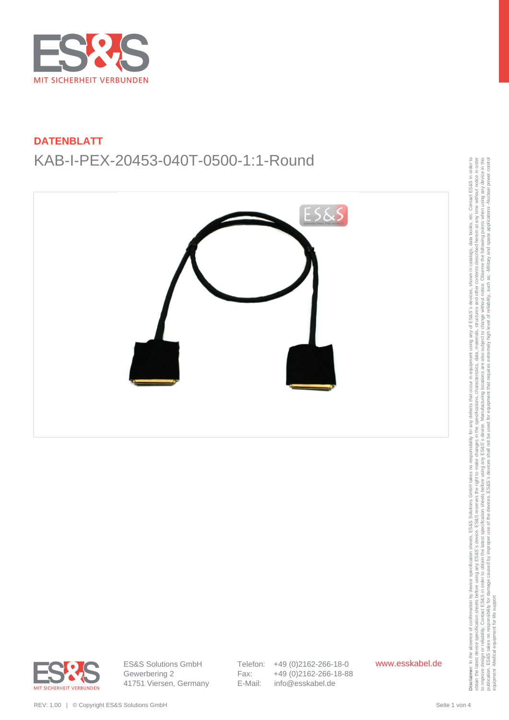



obtain the latest device specification sheets before using any ES&S' searce. ES&S reserves the right to make changes in the specifications, characteristics, data, materials, structures and other contents described herein a to improve design or reliability. Contact ESS&S in order to obtain the latest specification sheets before using any arge before using any arges before using any arges before the Sales is device. Manufacturing locations, th publication. ES&S takes no responsibility for damage caused by improper use of the devices. ES&S's devices shall not be used for equipment that requires extremely high level of reliability, such as: Alliliary and space app equipment -Medical equipment for life support



ES&S Solutions GmbH Gewerbering 2 41751 Viersen, Germany Telefon: +49 (0)2162-266-18-0 Fax: +49 (0)2162-266-18-88 E-Mail: info@esskabel.de

www.esskabel.de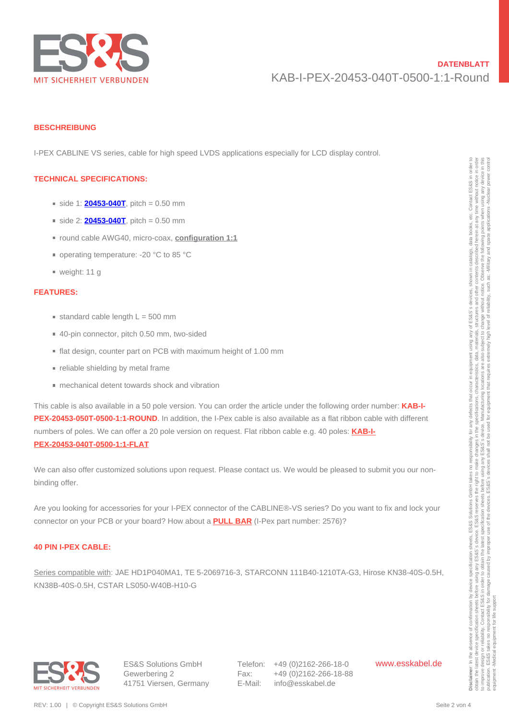

#### **BESCHREIBUNG**

I-PEX CABLINE VS series, cable for high speed LVDS applications especially for LCD display control.

#### **TECHNICAL SPECIFICATIONS:**

- $\blacksquare$  side 1: **[20453-040T](http://en.esskabel.de/steckverbinder/datasheet/ste-i-pex-20455-040e-12/55)**, pitch = 0.50 mm
- $\blacksquare$  side 2: **[20453-040T](http://en.esskabel.de/steckverbinder/datasheet/ste-i-pex-20455-040e-12/55)**, pitch = 0.50 mm
- round cable AWG40, micro-coax, **configuration 1:1**
- operating temperature: -20 °C to 85 °C
- weight: 11 g

### **FEATURES:**

- $\blacksquare$  standard cable length  $L = 500$  mm
- 40-pin connector, pitch 0.50 mm, two-sided
- flat design, counter part on PCB with maximum height of 1.00 mm
- **reliable shielding by metal frame**
- mechanical detent towards shock and vibration

This cable is also available in a 50 pole version. You can order the article under the following order number: **KAB-I-PEX-20453-050T-0500-1:1-ROUND**. In addition, the I-Pex cable is also available as a flat ribbon cable with different numbers of poles. We can offer a 20 pole version on request. Flat ribbon cable e.g. 40 poles: **[KAB-I-](https://www.esskabel.de/en/product/kab-i-pex-20453-040t-0500-1-1-flat/)[PEX-20453-040T-0500-1:1-FLAT](https://www.esskabel.de/en/product/kab-i-pex-20453-040t-0500-1-1-flat/) TECHNICAL SPECIFICATIONS:**<br>
• side 1: **2045-0407**, mich – 0.00 mm<br>
• side 1: **2045-0407**, mich – 0.00 mm<br>
• side 2: **2045-0407**, mich – 0.00 mm<br>
• sige and the MVDGO, include the large matrix 20 °C is 85°C<br>
• weight: 11

We can also offer customized solutions upon request. Please contact us. We would be pleased to submit you our nonbinding offer.

Are you looking for accessories for your I-PEX connector of the CABLINE®-VS series? Do you want to fix and lock your connector on your PCB or your board? How about a **[PULL BAR](https://www.esskabel.de/en/product/ste-i-pex-2576-040-00/)** (I-Pex part number: 2576)?

#### **40 PIN I-PEX CABLE:**

Series compatible with: JAE HD1P040MA1, TE 5-2069716-3, STARCONN 111B40-1210TA-G3, Hirose KN38-40S-0.5H, KN38B-40S-0.5H, CSTAR LS050-W40B-H10-G



ES&S Solutions GmbH Gewerbering 2 41751 Viersen, Germany Telefon: +49 (0)2162-266-18-0 Fax: +49 (0)2162-266-18-88 E-Mail: info@esskabel.de

www.esskabel.de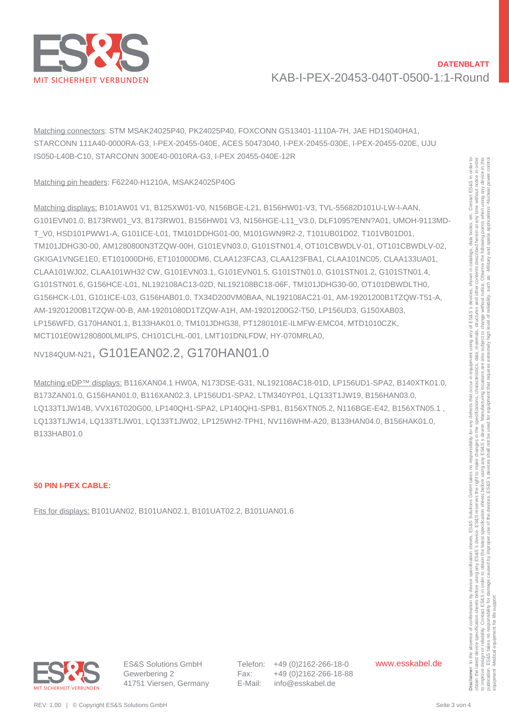

Matching connectors: STM MSAK24025P40, PK24025P40, FOXCONN GS13401-1110A-7H, JAE HD1S040HA1, STARCONN 111A40-0000RA-G3, I-PEX-20455-040E, ACES 50473040, I-PEX-20455-030E, I-PEX-20455-020E, UJU IS050-L40B-C10, STARCONN 300E40-0010RA-G3, I-PEX 20455-040E-12R

### Matching pin headers: F62240-H1210A, MSAK24025P40G

Matching displays: B101AW01 V1, B125XW01-V0, N156BGE-L21, B156HW01-V3, TVL-55682D101U-LW-I-AAN, G101EVN01.0, B173RW01\_V3, B173RW01, B156HW01 V3, N156HGE-L11\_V3.0, DLF1095?ENN?A01, UMOH-9113MD-T\_V0, HSD101PWW1-A, G101ICE-L01, TM101DDHG01-00, M101GWN9R2-2, T101UB01D02, T101VB01D01, TM101JDHG30-00, AM1280800N3TZQW-00H, G101EVN03.0, G101STN01.4, OT101CBWDLV-01, OT101CBWDLV-02, GKIGA1VNGE1E0, ET101000DH6, ET101000DM6, CLAA123FCA3, CLAA123FBA1, CLAA101NC05, CLAA133UA01, CLAA101WJ02, CLAA101WH32 CW, G101EVN03.1, G101EVN01.5, G101STN01.0, G101STN01.2, G101STN01.4, G101STN01.6, G156HCE-L01, NL192108AC13-02D, NL192108BC18-06F, TM101JDHG30-00, OT101DBWDLTH0, G156HCK-L01, G101ICE-L03, G156HAB01.0, TX34D200VM0BAA, NL192108AC21-01, AM-19201200B1TZQW-T51-A, AM-19201200B1TZQW-00-B, AM-19201080D1TZQW-A1H, AM-19201200G2-T50, LP156UD3, G150XAB03, LP156WFD, G170HAN01.1, B133HAK01.0, TM101JDHG38, PT1280101E-ILMFW-EMC04, MTD1010CZK, MCT101E0W1280800LMLIPS, CH101CLHL-001, LMT101DNLFDW, HY-070MRLA0, Mathing pin hender F67940 H-1701 M-8126 M201 Mathematics and the mini-spin methods of the mini-spin methods of the mini-spin methods of the mini-spin methods of the mini-spin methods of the mini-spin methods of the mini-s

# NV184QUM-N21, G101EAN02.2, G170HAN01.0

Matching eDP™ displays: B116XAN04.1 HW0A, N173DSE-G31, NL192108AC18-01D, LP156UD1-SPA2, B140XTK01.0, B173ZAN01.0, G156HAN01.0, B116XAN02.3, LP156UD1-SPA2, LTM340YP01, LQ133T1JW19, B156HAN03.0, LQ133T1JW14B, VVX16T020G00, LP140QH1-SPA2, LP140QH1-SPB1, B156XTN05.2, N116BGE-E42, B156XTN05.1 , LQ133T1JW14, LQ133T1JW01, LQ133T1JW02, LP125WH2-TPH1, NV116WHM-A20, B133HAN04.0, B156HAK01.0, B133HAB01.0

### **50 PIN I-PEX CABLE:**

Fits for displays: B101UAN02, B101UAN02.1, B101UAT02.2, B101UAN01.6



ES&S Solutions GmbH Gewerbering 2 41751 Viersen, Germany Telefon: +49 (0)2162-266-18-0 Fax: +49 (0)2162-266-18-88 E-Mail: info@esskabel.de

www.esskabel.de

obtain the latest device specification sheets before using any ES&S' searce. ES&S reserves the right to make changes in the specifications, characteristics, data, materials, structures and other contents described herein a Observe the following points when using any device in this to improve design or reliability. Contact ESS&S in order to obtain the latest specification sheets before using any arge before using any arges before using any arges before the Sales is device. Manufacturing locations, th publication. ES&S takes no responsibility for damage caused by improper use of the devices. ES&S's devices shall not be used for equipment that requires extremely high level of reliability, such as: Alliliary and space app i<br>Pute notice. change without subject to high are also ocations Manufacturing used for ES&S's device. pot using any s before using<br>ES&S's devi latest specification sheets to obtain the caused by improve design or reliability. Contact ES&S in order<br>blication. ES&S takes no responsibility for damage c equipment -Medical equipment for life supportequipment -Medical equipment for life suppor publication.